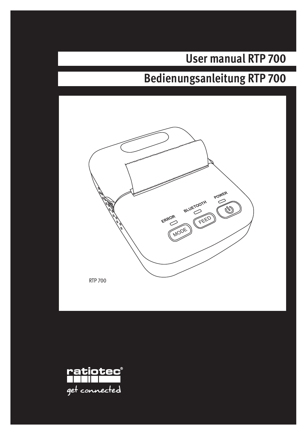# **User manual RTP 700**

# **Bedienungsanleitung RTP 700**



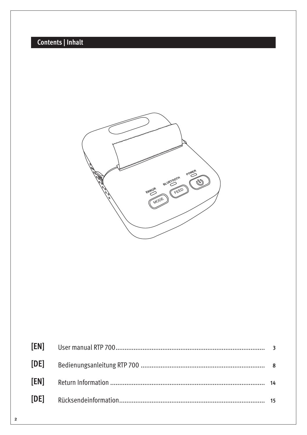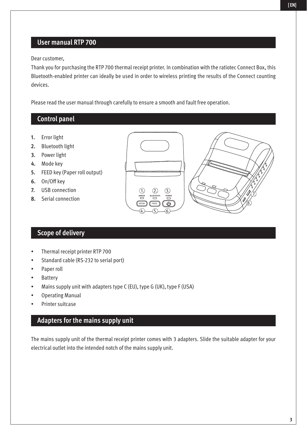## **User manual RTP 700**

Dear customer,

Thank you for purchasing the RTP 700 thermal receipt printer. In combination with the ratiotec Connect Box, this Bluetooth-enabled printer can ideally be used in order to wireless printing the results of the Connect counting devices.

Please read the user manual through carefully to ensure a smooth and fault free operation.

**ERROR** MODE FEED

**BLUETOOTH POWER**

1.)  $(2)$   $(3)$  7. 7.  $\sqrt{72}$ 

8.

 $(4)$   $\left($   $\right)$   $\left($   $\left($   $\right)$   $\left($   $\right)$   $\left($   $\right)$   $\left($   $\right)$   $\left($   $\right)$   $\left($   $\right)$   $\left($   $\right)$   $\left($   $\right)$   $\left($   $\right)$   $\left($   $\right)$   $\left($   $\right)$   $\left($   $\right)$   $\left($   $\right)$   $\left($   $\right)$   $\left($   $\right)$   $\left($   $\right)$   $\left($ 

### **Control panel**

- **1.** Error light
- **2.** Bluetooth light
- **3.** Power light
- **4.** Mode key
- **5.** FEED key (Paper roll output)
- **6.** On/Off key
- **7.** USB connection
- **8.** Serial connection

### **Scope of delivery**

- Thermal receipt printer RTP 700
- Standard cable (RS-232 to serial port)
- Paper roll
- **Battery**
- Mains supply unit with adapters type C (EU), type G (UK), type F (USA)
- Operating Manual
- Printer suitcase

### **Adapters for the mains supply unit**

The mains supply unit of the thermal receipt printer comes with 3 adapters. Slide the suitable adapter for your electrical outlet into the intended notch of the mains supply unit.

**[ EN]**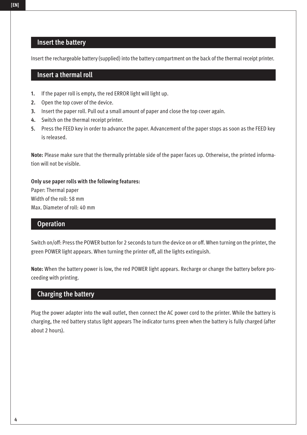### **Insert the battery**

Insert the rechargeable battery (supplied) into the battery compartment on the back of the thermal receipt printer.

### **Insert a thermal roll**

- **1.** If the paper roll is empty, the red ERROR light will light up.
- **2.** Open the top cover of the device.
- **3.** Insert the paper roll. Pull out a small amount of paper and close the top cover again.
- **4.** Switch on the thermal receipt printer.
- **5.** Press the FEED key in order to advance the paper. Advancement of the paper stops as soon as the FEED key is released.

**Note:** Please make sure that the thermally printable side of the paper faces up. Otherwise, the printed information will not be visible.

### **Only use paper rolls with the following features:**

Paper: Thermal paper Width of the roll: 58 mm Max. Diameter of roll: 40 mm

### **Operation**

Switch on/off: Press the POWER button for 2 seconds to turn the device on or off. When turning on the printer, the green POWER light appears. When turning the printer off, all the lights extinguish.

**Note:** When the battery power is low, the red POWER light appears. Recharge or change the battery before proceeding with printing.

### **Charging the battery**

Plug the power adapter into the wall outlet, then connect the AC power cord to the printer. While the battery is charging, the red battery status light appears The indicator turns green when the battery is fully charged (after about 2 hours).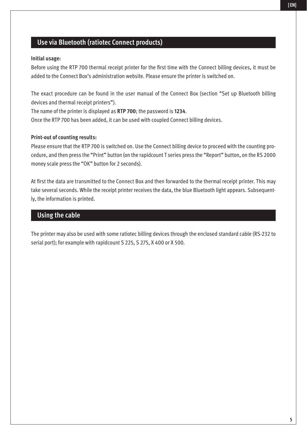#### **[ EN]**

## **Use via Bluetooth (ratiotec Connect products)**

#### **Initial usage:**

Before using the RTP 700 thermal receipt printer for the first time with the Connect billing devices, it must be added to the Connect Box's administration website. Please ensure the printer is switched on.

The exact procedure can be found in the user manual of the Connect Box (section "Set up Bluetooth billing devices and thermal receipt printers").

The name of the printer is displayed as **RTP 700**; the password is **1234**.

Once the RTP 700 has been added, it can be used with coupled Connect billing devices.

### **Print-out of counting results:**

Please ensure that the RTP 700 is switched on. Use the Connect billing device to proceed with the counting procedure, and then press the "Print" button (on the rapidcount T series press the "Report" button, on the RS 2000 money scale press the "OK" button for 2 seconds).

At first the data are transmitted to the Connect Box and then forwarded to the thermal receipt printer. This may take several seconds. While the receipt printer receives the data, the blue Bluetooth light appears. Subsequently, the information is printed.

### **Using the cable**

The printer may also be used with some ratiotec billing devices through the enclosed standard cable (RS-232 to serial port); for example with rapidcount S 225, S 275, X 400 or X 500.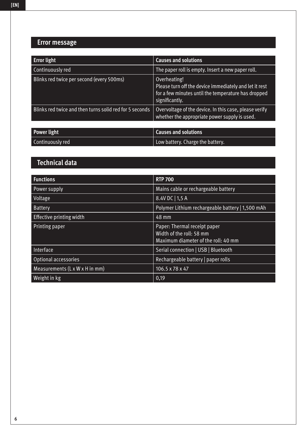## **Error message**

| <b>Error light</b>                                      | <b>Causes and solutions</b>                                                                                                                     |
|---------------------------------------------------------|-------------------------------------------------------------------------------------------------------------------------------------------------|
| Continuously red                                        | The paper roll is empty. Insert a new paper roll.                                                                                               |
| Blinks red twice per second (every 500ms)               | Overheating!<br>Please turn off the device immediately and let it rest<br>for a few minutes until the temperature has dropped<br>significantly. |
| Blinks red twice and then turns solid red for 5 seconds | Overvoltage of the device. In this case, please verify<br>whether the appropriate power supply is used.                                         |
|                                                         |                                                                                                                                                 |
| <b>Power light</b>                                      | <b>Causes and solutions</b>                                                                                                                     |
| Continuously red                                        | Low battery. Charge the battery.                                                                                                                |

# **Technical data**

| <b>Functions</b>               | <b>RTP 700</b>                                                                                  |
|--------------------------------|-------------------------------------------------------------------------------------------------|
| Power supply                   | Mains cable or rechargeable battery                                                             |
| Voltage                        | 8.4V DC   1,5 A                                                                                 |
| Battery                        | Polymer Lithium rechargeable battery   1,500 mAh                                                |
| Effective printing width       | 48 mm                                                                                           |
| Printing paper                 | Paper: Thermal receipt paper<br>Width of the roll: 58 mm<br>Maximum diameter of the roll: 40 mm |
| Interface                      | Serial connection   USB   Bluetooth                                                             |
| Optional accessories           | Rechargeable battery   paper rolls                                                              |
| Measurements (L x W x H in mm) | $106.5 \times 78 \times 47$                                                                     |
| Weight in kg                   | 0,19                                                                                            |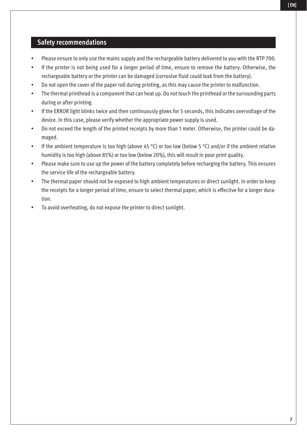### **Safety recommendations**

- Please ensure to only use the mains supply and the rechargeable battery delivered to you with the RTP 700.
- If the printer is not being used for a longer period of time, ensure to remove the battery. Otherwise, the rechargeable battery or the printer can be damaged (corrosive fluid could leak from the battery).
- Do not open the cover of the paper roll during printing, as this may cause the printer to malfunction.
- The thermal printhead is a component that can heat up. Do not touch the printhead or the surrounding parts during or after printing.
- If the ERROR light blinks twice and then continuously glows for 5 seconds, this indicates overvoltage of the device. In this case, please verify whether the appropriate power supply is used.
- Do not exceed the length of the printed receipts by more than 1 meter. Otherwise, the printer could be damaged.
- If the ambient temperature is too high (above 45 °C) or too low (below 5 °C) and/or if the ambient relative humidity is too high (above 85%) or too low (below 20%), this will result in poor print quality.
- Please make sure to use up the power of the battery completely before recharging the battery. This ensures the service life of the rechargeable battery.
- The thermal paper should not be exposed to high ambient temperatures or direct sunlight. In order to keep the receipts for a longer period of time, ensure to select thermal paper, which is effective for a longer duration.
- To avoid overheating, do not expose the printer to direct sunlight.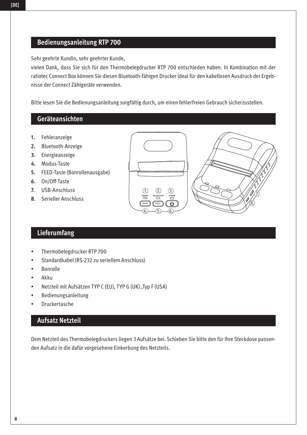## **Bedienungsanleitung RTP 700**

Sehr geehrte Kundin, sehr geehrter Kunde,

vielen Dank, dass Sie sich für den Thermobelegdrucker RTP 700 entschieden haben. In Kombination mit der ratiotec Connect Box können Sie diesen Bluetooth-fähigen Drucker ideal für den kabellosen Ausdruck der Ergebnisse der Connect Zählgeräte verwenden.

Bitte lesen Sie die Bedienungsanleitung sorgfältig durch, um einen fehlerfreien Gebrauch sicherzustellen.

### **Geräteansichten**

- **1.** Fehleranzeige
- **2.** Bluetooth-Anzeige
- **3.** Energieanzeige
- **4.** Modus-Taste
- **5.** FEED-Taste (Bonrollenausgabe)
- **6.** On/Off-Taste
- **7.** USB-Anschluss
- **8.** Serieller Anschluss

# **Lieferumfang**

- Thermobelegdrucker RTP 700
- Standardkabel (RS-232 zu seriellem Anschluss)
- Bonrolle
- Akku
- Netzteil mit Aufsätzen TYP C (EU), TYP G (UK) ,Typ F (USA)
- Bedienungsanleitung
- **Druckertasche**

### **Aufsatz Netzteil**

Dem Netzteil des Thermobelegdruckers liegen 3 Aufsätze bei. Schieben Sie bitte den für Ihre Steckdose passenden Aufsatz in die dafür vorgesehene Einkerbung des Netzteils.



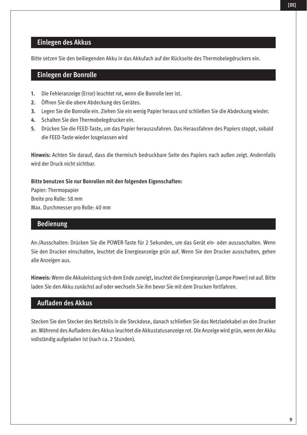### **Einlegen des Akkus**

Bitte setzen Sie den beiliegenden Akku in das Akkufach auf der Rückseite des Thermobelegdruckers ein.

### **Einlegen der Bonrolle**

- **1.** Die Fehleranzeige (Error) leuchtet rot, wenn die Bonrolle leer ist.
- **2.** Öffnen Sie die obere Abdeckung des Gerätes.
- **3.** Legen Sie die Bonrolle ein. Ziehen Sie ein wenig Papier heraus und schließen Sie die Abdeckung wieder.
- **4.** Schalten Sie den Thermobelegdrucker ein.
- **5.** Drücken Sie die FEED-Taste, um das Papier herauszufahren. Das Herausfahren des Papiers stoppt, sobald die FEED-Taste wieder losgelassen wird

**Hinweis:** Achten Sie darauf, dass die thermisch bedruckbare Seite des Papiers nach außen zeigt. Andernfalls wird der Druck nicht sichtbar.

#### **Bitte benutzen Sie nur Bonrollen mit den folgenden Eigenschaften:**

Papier: Thermopapier Breite pro Rolle: 58 mm Max. Durchmesser pro Rolle: 40 mm

### **Bedienung**

An-/Ausschalten: Drücken Sie die POWER-Taste für 2 Sekunden, um das Gerät ein- oder auszuschalten. Wenn Sie den Drucker einschalten, leuchtet die Energieanzeige grün auf. Wenn Sie den Drucker ausschalten, gehen alle Anzeigen aus.

**Hinweis:** Wenn die Akkuleistung sich dem Ende zuneigt, leuchtet die Energieanzeige (Lampe Power) rot auf. Bitte laden Sie den Akku zunächst auf oder wechseln Sie ihn bevor Sie mit dem Drucken fortfahren.

### **Aufladen des Akkus**

Stecken Sie den Stecker des Netzteils in die Steckdose, danach schließen Sie das Netzladekabel an den Drucker an. Während des Aufladens des Akkus leuchtet die Akkustatusanzeige rot. Die Anzeige wird grün, wenn der Akku vollständig aufgeladen ist (nach ca. 2 Stunden).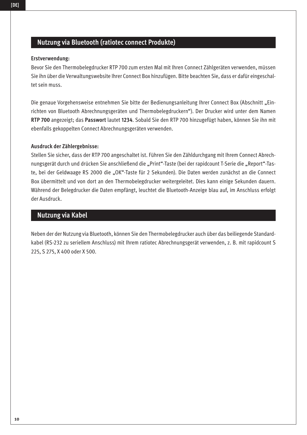## **Nutzung via Bluetooth (ratiotec connect Produkte)**

### **Erstverwendung:**

Bevor Sie den Thermobelegdrucker RTP 700 zum ersten Mal mit Ihren Connect Zählgeräten verwenden, müssen Sie ihn über die Verwaltungswebsite Ihrer Connect Box hinzufügen. Bitte beachten Sie, dass er dafür eingeschaltet sein muss.

Die genaue Vorgehensweise entnehmen Sie bitte der Bedienungsanleitung Ihrer Connect Box (Abschnitt "Einrichten von Bluetooth Abrechnungsgeräten und Thermobelegdruckern"). Der Drucker wird unter dem Namen **RTP 700** angezeigt; das **Passwort** lautet **1234**. Sobald Sie den RTP 700 hinzugefügt haben, können Sie ihn mit ebenfalls gekoppelten Connect Abrechnungsgeräten verwenden.

### **Ausdruck der Zählergebnisse:**

Stellen Sie sicher, dass der RTP 700 angeschaltet ist. Führen Sie den Zähldurchgang mit Ihrem Connect Abrechnungsgerät durch und drücken Sie anschließend die "Print"-Taste (bei der rapidcount T-Serie die "Report"-Taste, bei der Geldwaage RS 2000 die "OK"-Taste für 2 Sekunden). Die Daten werden zunächst an die Connect Box übermittelt und von dort an den Thermobelegdrucker weitergeleitet. Dies kann einige Sekunden dauern. Während der Belegdrucker die Daten empfängt, leuchtet die Bluetooth-Anzeige blau auf, im Anschluss erfolgt der Ausdruck.

## **Nutzung via Kabel**

Neben der der Nutzung via Bluetooth, können Sie den Thermobelegdrucker auch über das beiliegende Standardkabel (RS-232 zu seriellem Anschluss) mit Ihrem ratiotec Abrechnungsgerät verwenden, z. B. mit rapidcount S 225, S 275, X 400 oder X 500.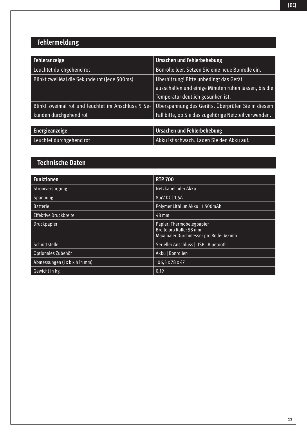# **Fehlermeldung**

| Fehleranzeige                                      | Ursachen und Fehlerbehebung                           |
|----------------------------------------------------|-------------------------------------------------------|
| Leuchtet durchgehend rot                           | Bonrolle leer. Setzen Sie eine neue Bonrolle ein.     |
| Blinkt zwei Mal die Sekunde rot (jede 500ms)       | Überhitzung! Bitte unbedingt das Gerät                |
|                                                    | ausschalten und einige Minuten ruhen lassen, bis die  |
|                                                    | Temperatur deutlich gesunken ist.                     |
| Blinkt zweimal rot und leuchtet im Anschluss 5 Se- | Überspannung des Geräts. Überprüfen Sie in diesem     |
| kunden durchgehend rot                             | Fall bitte, ob Sie das zugehörige Netzteil verwenden. |
|                                                    |                                                       |
| Energieanzeige                                     | Ursachen und Fehlerbehebung                           |
| Leuchtet durchgehend rot                           | Akku ist schwach. Laden Sie den Akku auf.             |

# **Technische Daten**

| <b>Funktionen</b>             | <b>RTP 700</b>                                                                                 |
|-------------------------------|------------------------------------------------------------------------------------------------|
| Stromversorgung               | Netzkabel oder Akku                                                                            |
| Spannung                      | 8,4V DC   1,5A                                                                                 |
| <b>Batterie</b>               | Polymer Lithium Akku   1.500mAh                                                                |
| <b>Effektive Druckbreite</b>  | 48 mm                                                                                          |
| Druckpapier                   | Papier: Thermobelegpapier<br>Breite pro Rolle: 58 mm<br>Maximaler Durchmesser pro Rolle: 40 mm |
| Schnittstelle                 | Serieller Anschluss   USB   Bluetooth                                                          |
| Optionales Zubehör            | Akku   Bonrollen                                                                               |
| Abmessungen (1 x b x h in mm) | 106,5 x 78 x 47                                                                                |
| Gewicht in kg                 | 0.19                                                                                           |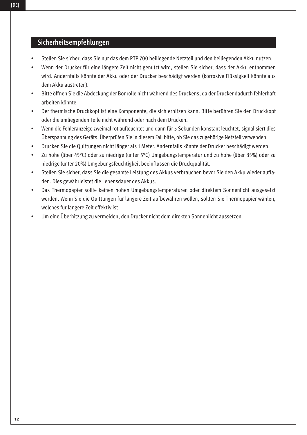### **Sicherheitsempfehlungen**

- Stellen Sie sicher, dass Sie nur das dem RTP 700 beiliegende Netzteil und den beiliegenden Akku nutzen.
- Wenn der Drucker für eine längere Zeit nicht genutzt wird, stellen Sie sicher, dass der Akku entnommen wird. Andernfalls könnte der Akku oder der Drucker beschädigt werden (korrosive Flüssigkeit könnte aus dem Akku austreten).
- Bitte öffnen Sie die Abdeckung der Bonrolle nicht während des Druckens, da der Drucker dadurch fehlerhaft arbeiten könnte.
- Der thermische Druckkopf ist eine Komponente, die sich erhitzen kann. Bitte berühren Sie den Druckkopf oder die umliegenden Teile nicht während oder nach dem Drucken.
- Wenn die Fehleranzeige zweimal rot aufleuchtet und dann für 5 Sekunden konstant leuchtet, signalisiert dies Überspannung des Geräts. Überprüfen Sie in diesem Fall bitte, ob Sie das zugehörige Netzteil verwenden.
- Drucken Sie die Quittungen nicht länger als 1 Meter. Andernfalls könnte der Drucker beschädigt werden.
- Zu hohe (über 45°C) oder zu niedrige (unter 5°C) Umgebungstemperatur und zu hohe (über 85%) oder zu niedrige (unter 20%) Umgebungsfeuchtigkeit beeinflussen die Druckqualität.
- Stellen Sie sicher, dass Sie die gesamte Leistung des Akkus verbrauchen bevor Sie den Akku wieder aufladen. Dies gewährleistet die Lebensdauer des Akkus.
- Das Thermopapier sollte keinen hohen Umgebungstemperaturen oder direktem Sonnenlicht ausgesetzt werden. Wenn Sie die Quittungen für längere Zeit aufbewahren wollen, sollten Sie Thermopapier wählen, welches für längere Zeit effektiv ist.
- Um eine Überhitzung zu vermeiden, den Drucker nicht dem direkten Sonnenlicht aussetzen.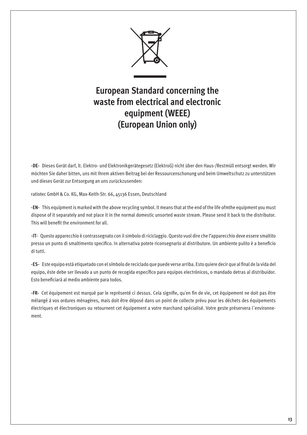

# **European Standard concerning the waste from electrical and electronic equipment (WEEE) (European Union only)**

**-DE-** Dieses Gerät darf, lt. Elektro- und Elektronikgerätegesetz (ElektroG) nicht über den Haus-/Restmüll entsorgt werden. Wir möchten Sie daher bitten, uns mit Ihrem aktiven Beitrag bei der Ressourcenschonung und beim Umweltschutz zu unterstützen und dieses Gerät zur Entsorgung an uns zurückzusenden:

ratiotec GmbH & Co. KG, Max-Keith-Str. 66, 45136 Essen, Deutschland

**-EN-** This equipment is marked with the above recycling symbol. It means that at the end of the life ofmthe equipment you must dispose of it separately and not place it in the normal domestic unsorted waste stream. Please send it back to the distributor. This will benefit the environment for all.

**-IT-** Questo apparecchio è contrassegnato con il simbolo di riciclaggio. Questo vuol dire che l'apparecchio deve essere smaltito presso un punto di smaltimento specifico. In alternativa potete riconsegnarlo al distributore. Un ambiente pulito è a beneficio di tutti.

**-ES-** Este equipo está etiquetado con el símbolo de reciclado que puede verse arriba. Esto quiere decir que al final de la vida del equipo, éste debe ser llevado a un punto de recogida específico para equipos electrónicos, o mandado detras al distribuidor. Esto beneficiará al medio ambiente para todos.

**-FR-** Cet équipement est marqué par le représenté ci dessus. Cela signifie, qu´en fin de vie, cet équipement ne doit pas être mélangé á vos ordures ménagères, mais doit être déposé dans un point de collecte prévu pour les déchets des équipements électriques et électroniques ou retournent cet équipement a votre marchand spécialisé. Votre geste préservera l`environnement.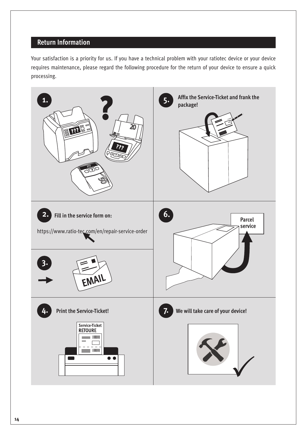## **Return Information**

Your satisfaction is a priority for us. If you have a technical problem with your ratiotec device or your device requires maintenance, please regard the following procedure for the return of your device to ensure a quick processing.

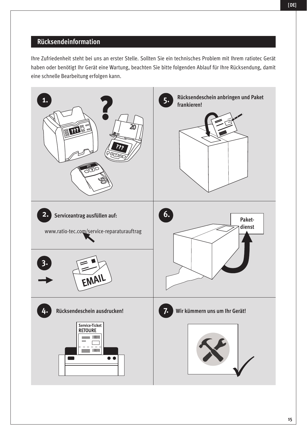## **Rücksendeinformation**

Ihre Zufriedenheit steht bei uns an erster Stelle. Sollten Sie ein technisches Problem mit Ihrem ratiotec Gerät haben oder benötigt Ihr Gerät eine Wartung, beachten Sie bitte folgenden Ablauf für Ihre Rücksendung, damit eine schnelle Bearbeitung erfolgen kann.